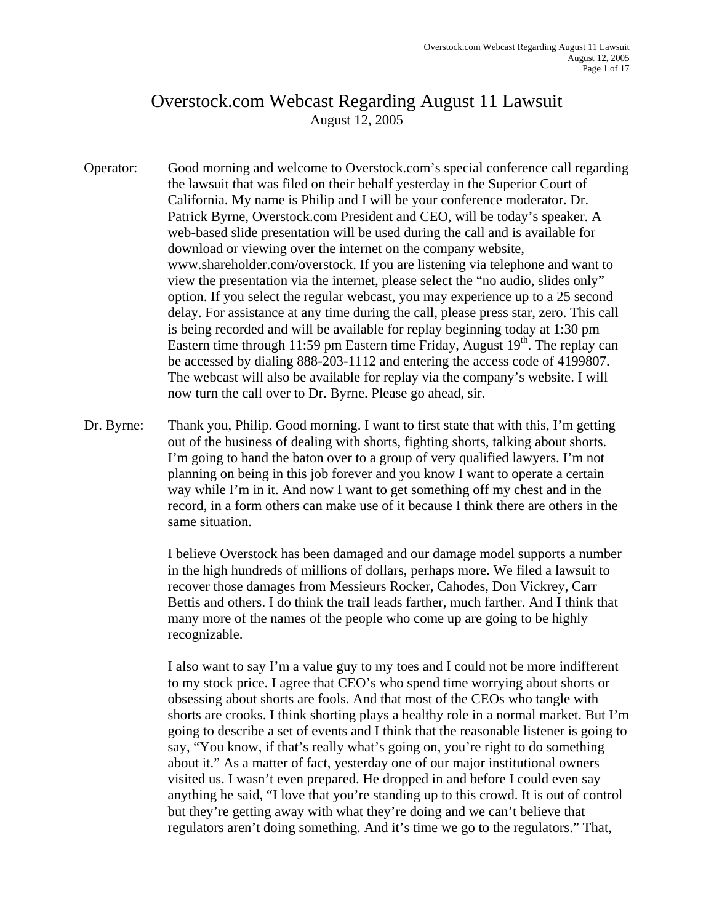## Overstock.com Webcast Regarding August 11 Lawsuit August 12, 2005

- Operator: Good morning and welcome to Overstock.com's special conference call regarding the lawsuit that was filed on their behalf yesterday in the Superior Court of California. My name is Philip and I will be your conference moderator. Dr. Patrick Byrne, Overstock.com President and CEO, will be today's speaker. A web-based slide presentation will be used during the call and is available for download or viewing over the internet on the company website, www.shareholder.com/overstock. If you are listening via telephone and want to view the presentation via the internet, please select the "no audio, slides only" option. If you select the regular webcast, you may experience up to a 25 second delay. For assistance at any time during the call, please press star, zero. This call is being recorded and will be available for replay beginning today at 1:30 pm Eastern time through 11:59 pm Eastern time Friday, August  $19<sup>th</sup>$ . The replay can be accessed by dialing 888-203-1112 and entering the access code of 4199807. The webcast will also be available for replay via the company's website. I will now turn the call over to Dr. Byrne. Please go ahead, sir.
- Dr. Byrne: Thank you, Philip. Good morning. I want to first state that with this, I'm getting out of the business of dealing with shorts, fighting shorts, talking about shorts. I'm going to hand the baton over to a group of very qualified lawyers. I'm not planning on being in this job forever and you know I want to operate a certain way while I'm in it. And now I want to get something off my chest and in the record, in a form others can make use of it because I think there are others in the same situation.

 I believe Overstock has been damaged and our damage model supports a number in the high hundreds of millions of dollars, perhaps more. We filed a lawsuit to recover those damages from Messieurs Rocker, Cahodes, Don Vickrey, Carr Bettis and others. I do think the trail leads farther, much farther. And I think that many more of the names of the people who come up are going to be highly recognizable.

 I also want to say I'm a value guy to my toes and I could not be more indifferent to my stock price. I agree that CEO's who spend time worrying about shorts or obsessing about shorts are fools. And that most of the CEOs who tangle with shorts are crooks. I think shorting plays a healthy role in a normal market. But I'm going to describe a set of events and I think that the reasonable listener is going to say, "You know, if that's really what's going on, you're right to do something about it." As a matter of fact, yesterday one of our major institutional owners visited us. I wasn't even prepared. He dropped in and before I could even say anything he said, "I love that you're standing up to this crowd. It is out of control but they're getting away with what they're doing and we can't believe that regulators aren't doing something. And it's time we go to the regulators." That,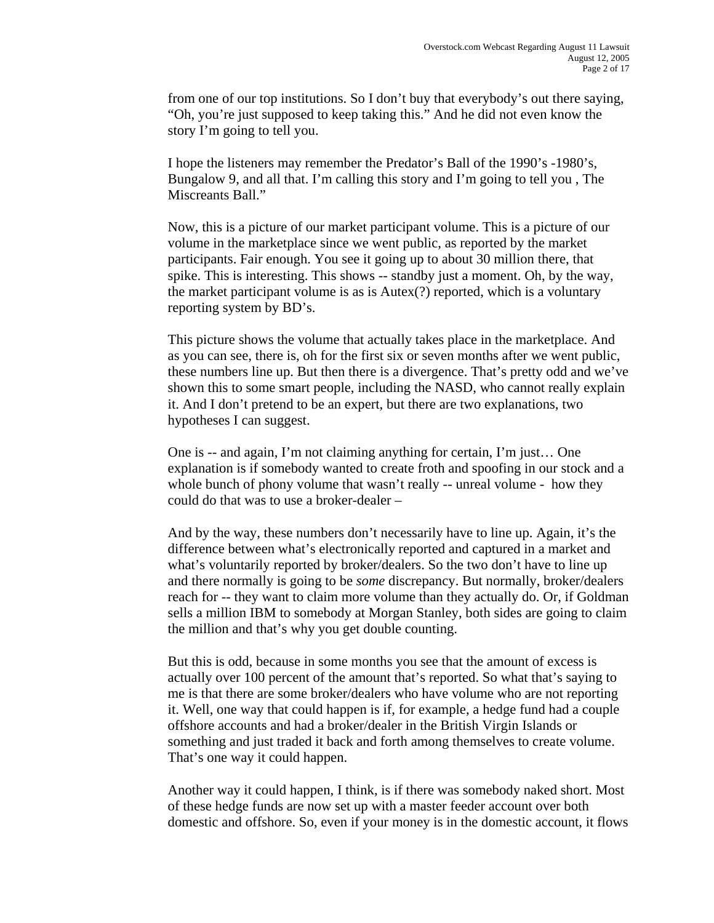from one of our top institutions. So I don't buy that everybody's out there saying, "Oh, you're just supposed to keep taking this." And he did not even know the story I'm going to tell you.

 I hope the listeners may remember the Predator's Ball of the 1990's -1980's, Bungalow 9, and all that. I'm calling this story and I'm going to tell you , The Miscreants Ball."

 Now, this is a picture of our market participant volume. This is a picture of our volume in the marketplace since we went public, as reported by the market participants. Fair enough. You see it going up to about 30 million there, that spike. This is interesting. This shows -- standby just a moment. Oh, by the way, the market participant volume is as is Autex(?) reported, which is a voluntary reporting system by BD's.

 This picture shows the volume that actually takes place in the marketplace. And as you can see, there is, oh for the first six or seven months after we went public, these numbers line up. But then there is a divergence. That's pretty odd and we've shown this to some smart people, including the NASD, who cannot really explain it. And I don't pretend to be an expert, but there are two explanations, two hypotheses I can suggest.

 One is -- and again, I'm not claiming anything for certain, I'm just… One explanation is if somebody wanted to create froth and spoofing in our stock and a whole bunch of phony volume that wasn't really -- unreal volume - how they could do that was to use a broker-dealer –

 And by the way, these numbers don't necessarily have to line up. Again, it's the difference between what's electronically reported and captured in a market and what's voluntarily reported by broker/dealers. So the two don't have to line up and there normally is going to be *some* discrepancy. But normally, broker/dealers reach for -- they want to claim more volume than they actually do. Or, if Goldman sells a million IBM to somebody at Morgan Stanley, both sides are going to claim the million and that's why you get double counting.

 But this is odd, because in some months you see that the amount of excess is actually over 100 percent of the amount that's reported. So what that's saying to me is that there are some broker/dealers who have volume who are not reporting it. Well, one way that could happen is if, for example, a hedge fund had a couple offshore accounts and had a broker/dealer in the British Virgin Islands or something and just traded it back and forth among themselves to create volume. That's one way it could happen.

 Another way it could happen, I think, is if there was somebody naked short. Most of these hedge funds are now set up with a master feeder account over both domestic and offshore. So, even if your money is in the domestic account, it flows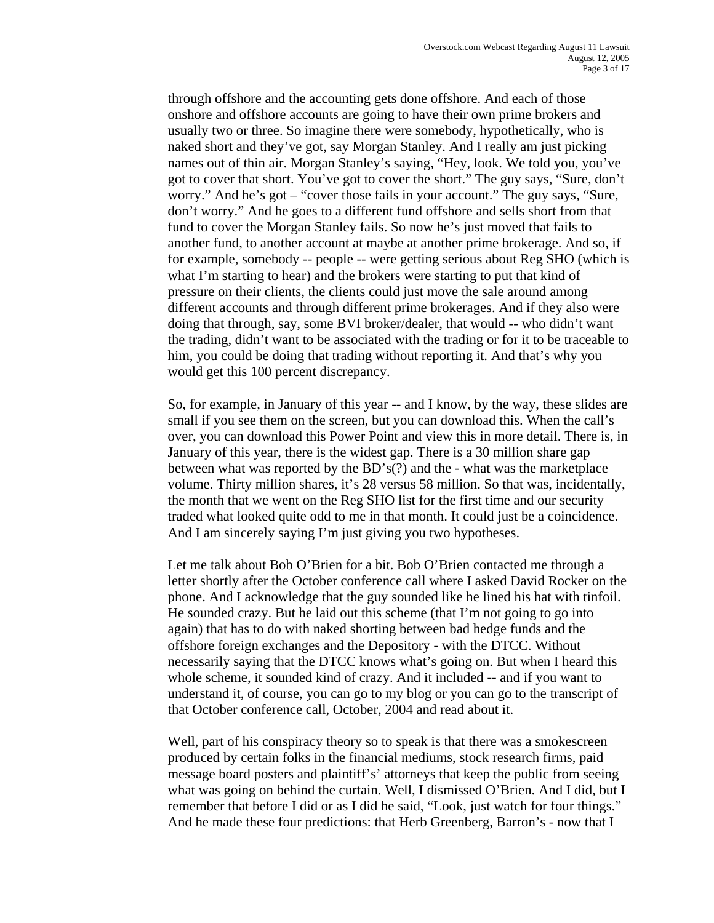through offshore and the accounting gets done offshore. And each of those onshore and offshore accounts are going to have their own prime brokers and usually two or three. So imagine there were somebody, hypothetically, who is naked short and they've got, say Morgan Stanley. And I really am just picking names out of thin air. Morgan Stanley's saying, "Hey, look. We told you, you've got to cover that short. You've got to cover the short." The guy says, "Sure, don't worry." And he's got – "cover those fails in your account." The guy says, "Sure, don't worry." And he goes to a different fund offshore and sells short from that fund to cover the Morgan Stanley fails. So now he's just moved that fails to another fund, to another account at maybe at another prime brokerage. And so, if for example, somebody -- people -- were getting serious about Reg SHO (which is what I'm starting to hear) and the brokers were starting to put that kind of pressure on their clients, the clients could just move the sale around among different accounts and through different prime brokerages. And if they also were doing that through, say, some BVI broker/dealer, that would -- who didn't want the trading, didn't want to be associated with the trading or for it to be traceable to him, you could be doing that trading without reporting it. And that's why you would get this 100 percent discrepancy.

 So, for example, in January of this year -- and I know, by the way, these slides are small if you see them on the screen, but you can download this. When the call's over, you can download this Power Point and view this in more detail. There is, in January of this year, there is the widest gap. There is a 30 million share gap between what was reported by the BD's(?) and the - what was the marketplace volume. Thirty million shares, it's 28 versus 58 million. So that was, incidentally, the month that we went on the Reg SHO list for the first time and our security traded what looked quite odd to me in that month. It could just be a coincidence. And I am sincerely saying I'm just giving you two hypotheses.

 Let me talk about Bob O'Brien for a bit. Bob O'Brien contacted me through a letter shortly after the October conference call where I asked David Rocker on the phone. And I acknowledge that the guy sounded like he lined his hat with tinfoil. He sounded crazy. But he laid out this scheme (that I'm not going to go into again) that has to do with naked shorting between bad hedge funds and the offshore foreign exchanges and the Depository - with the DTCC. Without necessarily saying that the DTCC knows what's going on. But when I heard this whole scheme, it sounded kind of crazy. And it included -- and if you want to understand it, of course, you can go to my blog or you can go to the transcript of that October conference call, October, 2004 and read about it.

 Well, part of his conspiracy theory so to speak is that there was a smokescreen produced by certain folks in the financial mediums, stock research firms, paid message board posters and plaintiff's' attorneys that keep the public from seeing what was going on behind the curtain. Well, I dismissed O'Brien. And I did, but I remember that before I did or as I did he said, "Look, just watch for four things." And he made these four predictions: that Herb Greenberg, Barron's - now that I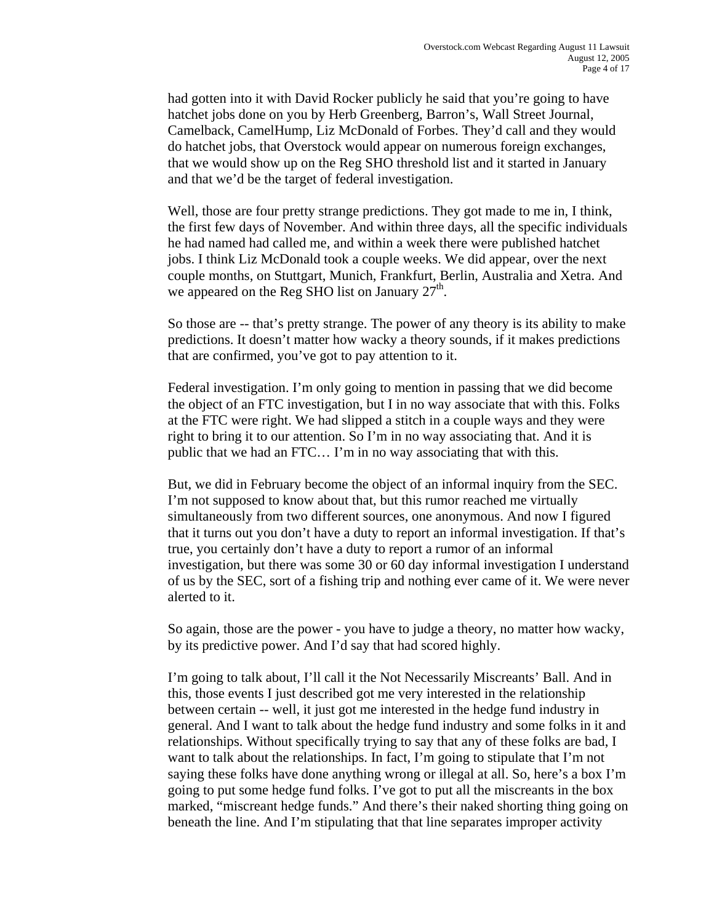had gotten into it with David Rocker publicly he said that you're going to have hatchet jobs done on you by Herb Greenberg, Barron's, Wall Street Journal, Camelback, CamelHump, Liz McDonald of Forbes. They'd call and they would do hatchet jobs, that Overstock would appear on numerous foreign exchanges, that we would show up on the Reg SHO threshold list and it started in January and that we'd be the target of federal investigation.

 Well, those are four pretty strange predictions. They got made to me in, I think, the first few days of November. And within three days, all the specific individuals he had named had called me, and within a week there were published hatchet jobs. I think Liz McDonald took a couple weeks. We did appear, over the next couple months, on Stuttgart, Munich, Frankfurt, Berlin, Australia and Xetra. And we appeared on the Reg SHO list on January  $27<sup>th</sup>$ .

 So those are -- that's pretty strange. The power of any theory is its ability to make predictions. It doesn't matter how wacky a theory sounds, if it makes predictions that are confirmed, you've got to pay attention to it.

 Federal investigation. I'm only going to mention in passing that we did become the object of an FTC investigation, but I in no way associate that with this. Folks at the FTC were right. We had slipped a stitch in a couple ways and they were right to bring it to our attention. So I'm in no way associating that. And it is public that we had an FTC… I'm in no way associating that with this.

 But, we did in February become the object of an informal inquiry from the SEC. I'm not supposed to know about that, but this rumor reached me virtually simultaneously from two different sources, one anonymous. And now I figured that it turns out you don't have a duty to report an informal investigation. If that's true, you certainly don't have a duty to report a rumor of an informal investigation, but there was some 30 or 60 day informal investigation I understand of us by the SEC, sort of a fishing trip and nothing ever came of it. We were never alerted to it.

 So again, those are the power - you have to judge a theory, no matter how wacky, by its predictive power. And I'd say that had scored highly.

 I'm going to talk about, I'll call it the Not Necessarily Miscreants' Ball. And in this, those events I just described got me very interested in the relationship between certain -- well, it just got me interested in the hedge fund industry in general. And I want to talk about the hedge fund industry and some folks in it and relationships. Without specifically trying to say that any of these folks are bad, I want to talk about the relationships. In fact, I'm going to stipulate that I'm not saying these folks have done anything wrong or illegal at all. So, here's a box I'm going to put some hedge fund folks. I've got to put all the miscreants in the box marked, "miscreant hedge funds." And there's their naked shorting thing going on beneath the line. And I'm stipulating that that line separates improper activity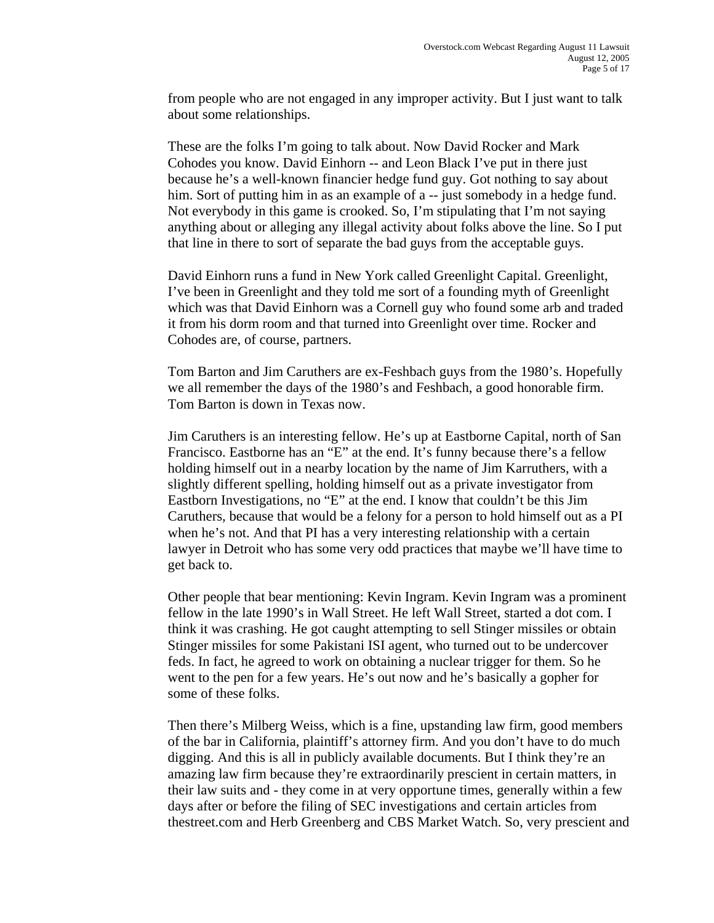from people who are not engaged in any improper activity. But I just want to talk about some relationships.

 These are the folks I'm going to talk about. Now David Rocker and Mark Cohodes you know. David Einhorn -- and Leon Black I've put in there just because he's a well-known financier hedge fund guy. Got nothing to say about him. Sort of putting him in as an example of a -- just somebody in a hedge fund. Not everybody in this game is crooked. So, I'm stipulating that I'm not saying anything about or alleging any illegal activity about folks above the line. So I put that line in there to sort of separate the bad guys from the acceptable guys.

 David Einhorn runs a fund in New York called Greenlight Capital. Greenlight, I've been in Greenlight and they told me sort of a founding myth of Greenlight which was that David Einhorn was a Cornell guy who found some arb and traded it from his dorm room and that turned into Greenlight over time. Rocker and Cohodes are, of course, partners.

 Tom Barton and Jim Caruthers are ex-Feshbach guys from the 1980's. Hopefully we all remember the days of the 1980's and Feshbach, a good honorable firm. Tom Barton is down in Texas now.

 Jim Caruthers is an interesting fellow. He's up at Eastborne Capital, north of San Francisco. Eastborne has an "E" at the end. It's funny because there's a fellow holding himself out in a nearby location by the name of Jim Karruthers, with a slightly different spelling, holding himself out as a private investigator from Eastborn Investigations, no "E" at the end. I know that couldn't be this Jim Caruthers, because that would be a felony for a person to hold himself out as a PI when he's not. And that PI has a very interesting relationship with a certain lawyer in Detroit who has some very odd practices that maybe we'll have time to get back to.

 Other people that bear mentioning: Kevin Ingram. Kevin Ingram was a prominent fellow in the late 1990's in Wall Street. He left Wall Street, started a dot com. I think it was crashing. He got caught attempting to sell Stinger missiles or obtain Stinger missiles for some Pakistani ISI agent, who turned out to be undercover feds. In fact, he agreed to work on obtaining a nuclear trigger for them. So he went to the pen for a few years. He's out now and he's basically a gopher for some of these folks.

 Then there's Milberg Weiss, which is a fine, upstanding law firm, good members of the bar in California, plaintiff's attorney firm. And you don't have to do much digging. And this is all in publicly available documents. But I think they're an amazing law firm because they're extraordinarily prescient in certain matters, in their law suits and - they come in at very opportune times, generally within a few days after or before the filing of SEC investigations and certain articles from thestreet.com and Herb Greenberg and CBS Market Watch. So, very prescient and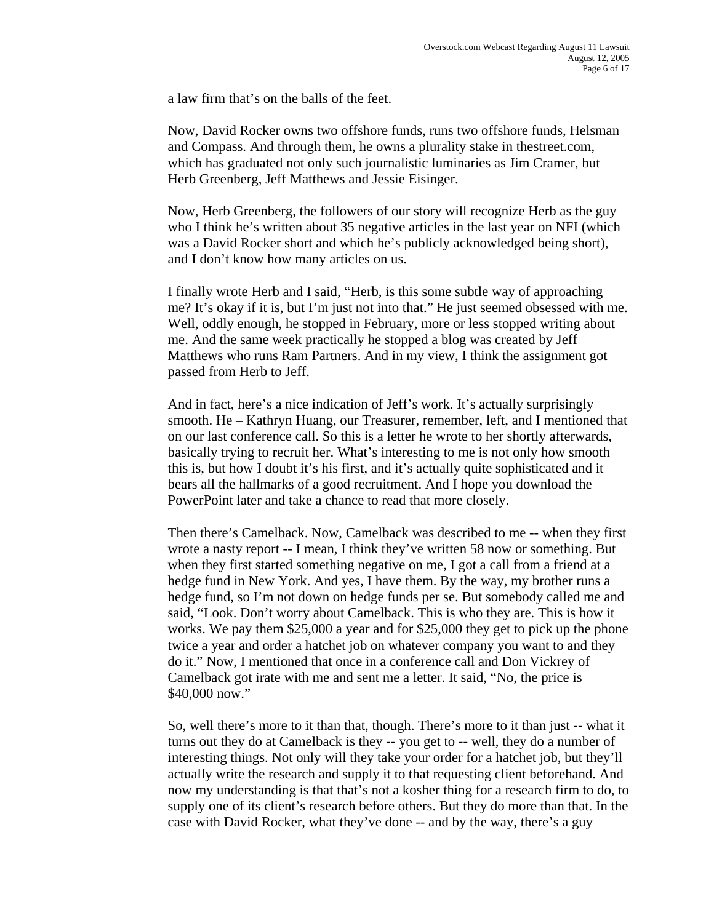a law firm that's on the balls of the feet.

 Now, David Rocker owns two offshore funds, runs two offshore funds, Helsman and Compass. And through them, he owns a plurality stake in thestreet.com, which has graduated not only such journalistic luminaries as Jim Cramer, but Herb Greenberg, Jeff Matthews and Jessie Eisinger.

 Now, Herb Greenberg, the followers of our story will recognize Herb as the guy who I think he's written about 35 negative articles in the last year on NFI (which was a David Rocker short and which he's publicly acknowledged being short), and I don't know how many articles on us.

 I finally wrote Herb and I said, "Herb, is this some subtle way of approaching me? It's okay if it is, but I'm just not into that." He just seemed obsessed with me. Well, oddly enough, he stopped in February, more or less stopped writing about me. And the same week practically he stopped a blog was created by Jeff Matthews who runs Ram Partners. And in my view, I think the assignment got passed from Herb to Jeff.

 And in fact, here's a nice indication of Jeff's work. It's actually surprisingly smooth. He – Kathryn Huang, our Treasurer, remember, left, and I mentioned that on our last conference call. So this is a letter he wrote to her shortly afterwards, basically trying to recruit her. What's interesting to me is not only how smooth this is, but how I doubt it's his first, and it's actually quite sophisticated and it bears all the hallmarks of a good recruitment. And I hope you download the PowerPoint later and take a chance to read that more closely.

 Then there's Camelback. Now, Camelback was described to me -- when they first wrote a nasty report -- I mean, I think they've written 58 now or something. But when they first started something negative on me, I got a call from a friend at a hedge fund in New York. And yes, I have them. By the way, my brother runs a hedge fund, so I'm not down on hedge funds per se. But somebody called me and said, "Look. Don't worry about Camelback. This is who they are. This is how it works. We pay them \$25,000 a year and for \$25,000 they get to pick up the phone twice a year and order a hatchet job on whatever company you want to and they do it." Now, I mentioned that once in a conference call and Don Vickrey of Camelback got irate with me and sent me a letter. It said, "No, the price is \$40,000 now."

 So, well there's more to it than that, though. There's more to it than just -- what it turns out they do at Camelback is they -- you get to -- well, they do a number of interesting things. Not only will they take your order for a hatchet job, but they'll actually write the research and supply it to that requesting client beforehand. And now my understanding is that that's not a kosher thing for a research firm to do, to supply one of its client's research before others. But they do more than that. In the case with David Rocker, what they've done -- and by the way, there's a guy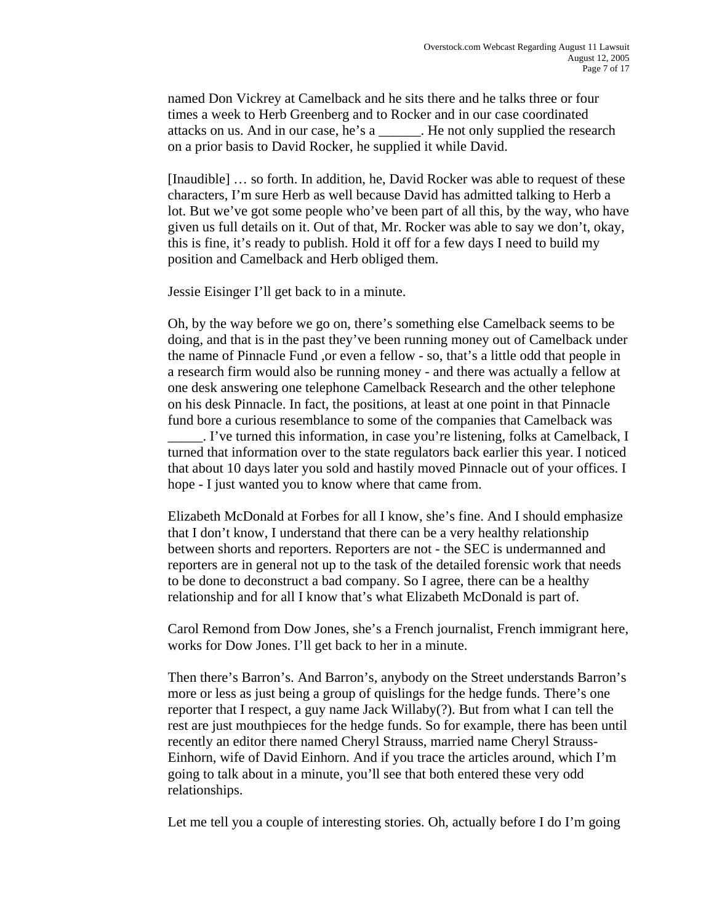named Don Vickrey at Camelback and he sits there and he talks three or four times a week to Herb Greenberg and to Rocker and in our case coordinated attacks on us. And in our case, he's a \_\_\_\_\_\_. He not only supplied the research on a prior basis to David Rocker, he supplied it while David.

 [Inaudible] … so forth. In addition, he, David Rocker was able to request of these characters, I'm sure Herb as well because David has admitted talking to Herb a lot. But we've got some people who've been part of all this, by the way, who have given us full details on it. Out of that, Mr. Rocker was able to say we don't, okay, this is fine, it's ready to publish. Hold it off for a few days I need to build my position and Camelback and Herb obliged them.

Jessie Eisinger I'll get back to in a minute.

 Oh, by the way before we go on, there's something else Camelback seems to be doing, and that is in the past they've been running money out of Camelback under the name of Pinnacle Fund ,or even a fellow - so, that's a little odd that people in a research firm would also be running money - and there was actually a fellow at one desk answering one telephone Camelback Research and the other telephone on his desk Pinnacle. In fact, the positions, at least at one point in that Pinnacle fund bore a curious resemblance to some of the companies that Camelback was \_\_\_\_\_. I've turned this information, in case you're listening, folks at Camelback, I

turned that information over to the state regulators back earlier this year. I noticed that about 10 days later you sold and hastily moved Pinnacle out of your offices. I hope - I just wanted you to know where that came from.

 Elizabeth McDonald at Forbes for all I know, she's fine. And I should emphasize that I don't know, I understand that there can be a very healthy relationship between shorts and reporters. Reporters are not - the SEC is undermanned and reporters are in general not up to the task of the detailed forensic work that needs to be done to deconstruct a bad company. So I agree, there can be a healthy relationship and for all I know that's what Elizabeth McDonald is part of.

 Carol Remond from Dow Jones, she's a French journalist, French immigrant here, works for Dow Jones. I'll get back to her in a minute.

 Then there's Barron's. And Barron's, anybody on the Street understands Barron's more or less as just being a group of quislings for the hedge funds. There's one reporter that I respect, a guy name Jack Willaby(?). But from what I can tell the rest are just mouthpieces for the hedge funds. So for example, there has been until recently an editor there named Cheryl Strauss, married name Cheryl Strauss-Einhorn, wife of David Einhorn. And if you trace the articles around, which I'm going to talk about in a minute, you'll see that both entered these very odd relationships.

Let me tell you a couple of interesting stories. Oh, actually before I do I'm going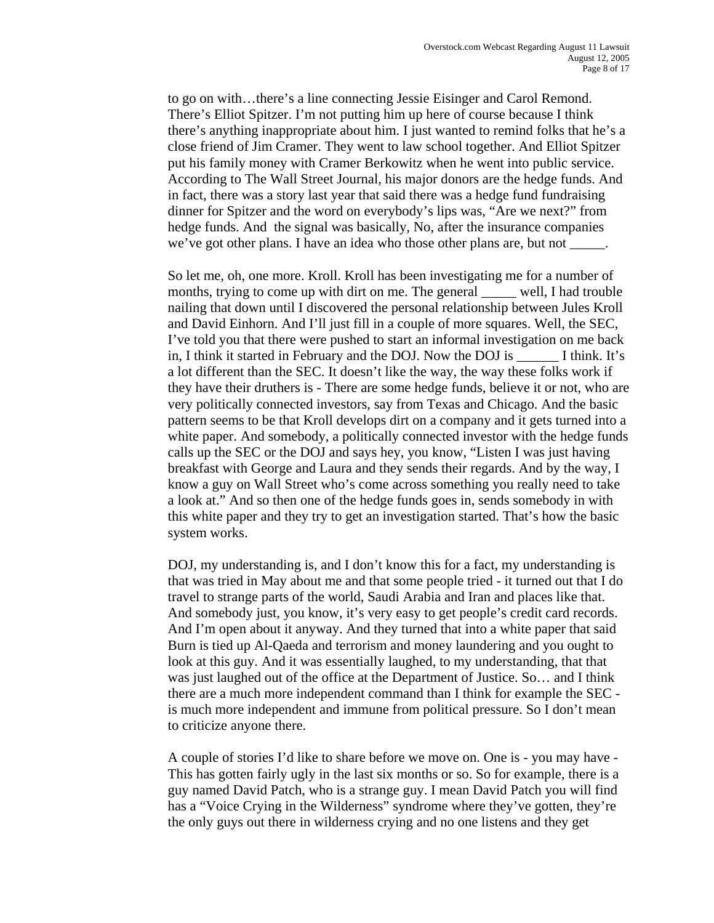to go on with…there's a line connecting Jessie Eisinger and Carol Remond. There's Elliot Spitzer. I'm not putting him up here of course because I think there's anything inappropriate about him. I just wanted to remind folks that he's a close friend of Jim Cramer. They went to law school together. And Elliot Spitzer put his family money with Cramer Berkowitz when he went into public service. According to The Wall Street Journal, his major donors are the hedge funds. And in fact, there was a story last year that said there was a hedge fund fundraising dinner for Spitzer and the word on everybody's lips was, "Are we next?" from hedge funds. And the signal was basically, No, after the insurance companies we've got other plans. I have an idea who those other plans are, but not \_

 So let me, oh, one more. Kroll. Kroll has been investigating me for a number of months, trying to come up with dirt on me. The general well, I had trouble nailing that down until I discovered the personal relationship between Jules Kroll and David Einhorn. And I'll just fill in a couple of more squares. Well, the SEC, I've told you that there were pushed to start an informal investigation on me back in, I think it started in February and the DOJ. Now the DOJ is \_\_\_\_\_\_ I think. It's a lot different than the SEC. It doesn't like the way, the way these folks work if they have their druthers is - There are some hedge funds, believe it or not, who are very politically connected investors, say from Texas and Chicago. And the basic pattern seems to be that Kroll develops dirt on a company and it gets turned into a white paper. And somebody, a politically connected investor with the hedge funds calls up the SEC or the DOJ and says hey, you know, "Listen I was just having breakfast with George and Laura and they sends their regards. And by the way, I know a guy on Wall Street who's come across something you really need to take a look at." And so then one of the hedge funds goes in, sends somebody in with this white paper and they try to get an investigation started. That's how the basic system works.

DOJ, my understanding is, and I don't know this for a fact, my understanding is that was tried in May about me and that some people tried - it turned out that I do travel to strange parts of the world, Saudi Arabia and Iran and places like that. And somebody just, you know, it's very easy to get people's credit card records. And I'm open about it anyway. And they turned that into a white paper that said Burn is tied up Al-Qaeda and terrorism and money laundering and you ought to look at this guy. And it was essentially laughed, to my understanding, that that was just laughed out of the office at the Department of Justice. So… and I think there are a much more independent command than I think for example the SEC is much more independent and immune from political pressure. So I don't mean to criticize anyone there.

 A couple of stories I'd like to share before we move on. One is - you may have - This has gotten fairly ugly in the last six months or so. So for example, there is a guy named David Patch, who is a strange guy. I mean David Patch you will find has a "Voice Crying in the Wilderness" syndrome where they've gotten, they're the only guys out there in wilderness crying and no one listens and they get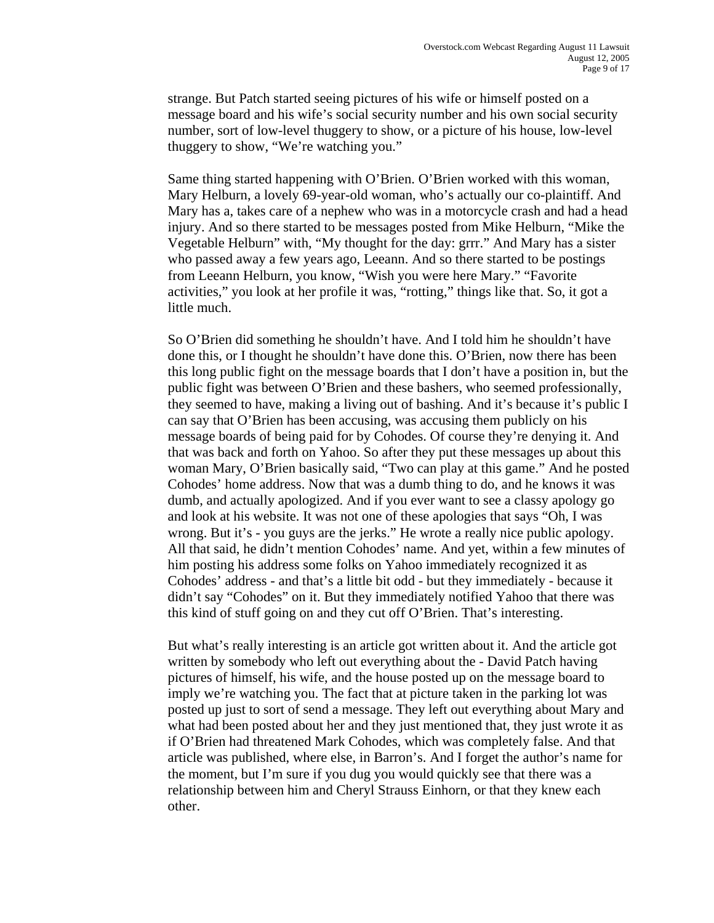strange. But Patch started seeing pictures of his wife or himself posted on a message board and his wife's social security number and his own social security number, sort of low-level thuggery to show, or a picture of his house, low-level thuggery to show, "We're watching you."

Same thing started happening with O'Brien. O'Brien worked with this woman, Mary Helburn, a lovely 69-year-old woman, who's actually our co-plaintiff. And Mary has a, takes care of a nephew who was in a motorcycle crash and had a head injury. And so there started to be messages posted from Mike Helburn, "Mike the Vegetable Helburn" with, "My thought for the day: grrr." And Mary has a sister who passed away a few years ago, Leeann. And so there started to be postings from Leeann Helburn, you know, "Wish you were here Mary." "Favorite activities," you look at her profile it was, "rotting," things like that. So, it got a little much.

So O'Brien did something he shouldn't have. And I told him he shouldn't have done this, or I thought he shouldn't have done this. O'Brien, now there has been this long public fight on the message boards that I don't have a position in, but the public fight was between O'Brien and these bashers, who seemed professionally, they seemed to have, making a living out of bashing. And it's because it's public I can say that O'Brien has been accusing, was accusing them publicly on his message boards of being paid for by Cohodes. Of course they're denying it. And that was back and forth on Yahoo. So after they put these messages up about this woman Mary, O'Brien basically said, "Two can play at this game." And he posted Cohodes' home address. Now that was a dumb thing to do, and he knows it was dumb, and actually apologized. And if you ever want to see a classy apology go and look at his website. It was not one of these apologies that says "Oh, I was wrong. But it's - you guys are the jerks." He wrote a really nice public apology. All that said, he didn't mention Cohodes' name. And yet, within a few minutes of him posting his address some folks on Yahoo immediately recognized it as Cohodes' address - and that's a little bit odd - but they immediately - because it didn't say "Cohodes" on it. But they immediately notified Yahoo that there was this kind of stuff going on and they cut off O'Brien. That's interesting.

But what's really interesting is an article got written about it. And the article got written by somebody who left out everything about the - David Patch having pictures of himself, his wife, and the house posted up on the message board to imply we're watching you. The fact that at picture taken in the parking lot was posted up just to sort of send a message. They left out everything about Mary and what had been posted about her and they just mentioned that, they just wrote it as if O'Brien had threatened Mark Cohodes, which was completely false. And that article was published, where else, in Barron's. And I forget the author's name for the moment, but I'm sure if you dug you would quickly see that there was a relationship between him and Cheryl Strauss Einhorn, or that they knew each other.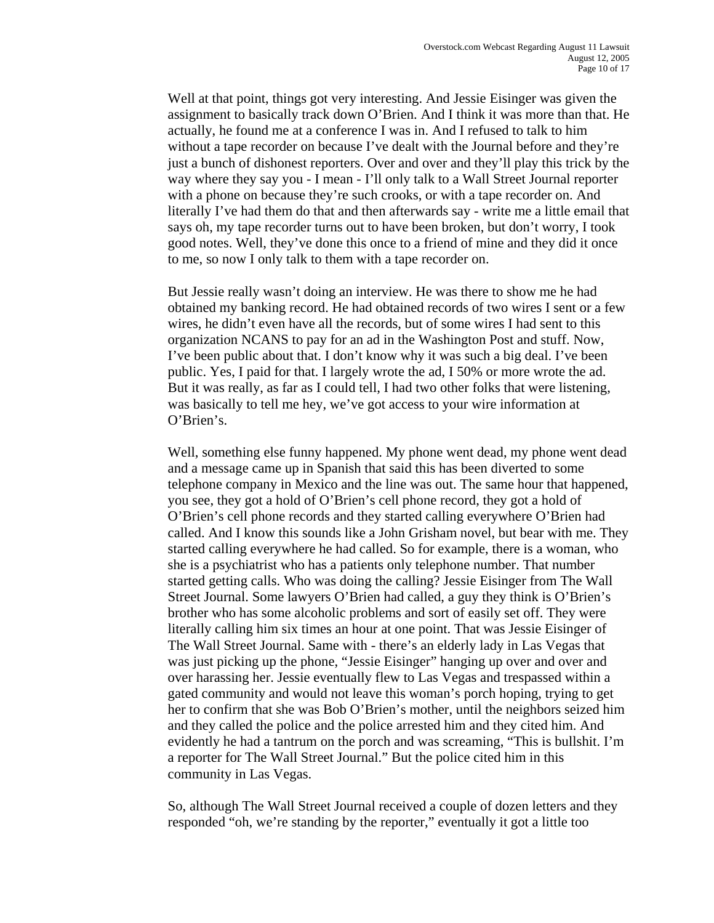Well at that point, things got very interesting. And Jessie Eisinger was given the assignment to basically track down O'Brien. And I think it was more than that. He actually, he found me at a conference I was in. And I refused to talk to him without a tape recorder on because I've dealt with the Journal before and they're just a bunch of dishonest reporters. Over and over and they'll play this trick by the way where they say you - I mean - I'll only talk to a Wall Street Journal reporter with a phone on because they're such crooks, or with a tape recorder on. And literally I've had them do that and then afterwards say - write me a little email that says oh, my tape recorder turns out to have been broken, but don't worry, I took good notes. Well, they've done this once to a friend of mine and they did it once to me, so now I only talk to them with a tape recorder on.

But Jessie really wasn't doing an interview. He was there to show me he had obtained my banking record. He had obtained records of two wires I sent or a few wires, he didn't even have all the records, but of some wires I had sent to this organization NCANS to pay for an ad in the Washington Post and stuff. Now, I've been public about that. I don't know why it was such a big deal. I've been public. Yes, I paid for that. I largely wrote the ad, I 50% or more wrote the ad. But it was really, as far as I could tell, I had two other folks that were listening, was basically to tell me hey, we've got access to your wire information at O'Brien's.

 Well, something else funny happened. My phone went dead, my phone went dead and a message came up in Spanish that said this has been diverted to some telephone company in Mexico and the line was out. The same hour that happened, you see, they got a hold of O'Brien's cell phone record, they got a hold of O'Brien's cell phone records and they started calling everywhere O'Brien had called. And I know this sounds like a John Grisham novel, but bear with me. They started calling everywhere he had called. So for example, there is a woman, who she is a psychiatrist who has a patients only telephone number. That number started getting calls. Who was doing the calling? Jessie Eisinger from The Wall Street Journal. Some lawyers O'Brien had called, a guy they think is O'Brien's brother who has some alcoholic problems and sort of easily set off. They were literally calling him six times an hour at one point. That was Jessie Eisinger of The Wall Street Journal. Same with - there's an elderly lady in Las Vegas that was just picking up the phone, "Jessie Eisinger" hanging up over and over and over harassing her. Jessie eventually flew to Las Vegas and trespassed within a gated community and would not leave this woman's porch hoping, trying to get her to confirm that she was Bob O'Brien's mother, until the neighbors seized him and they called the police and the police arrested him and they cited him. And evidently he had a tantrum on the porch and was screaming, "This is bullshit. I'm a reporter for The Wall Street Journal." But the police cited him in this community in Las Vegas.

So, although The Wall Street Journal received a couple of dozen letters and they responded "oh, we're standing by the reporter," eventually it got a little too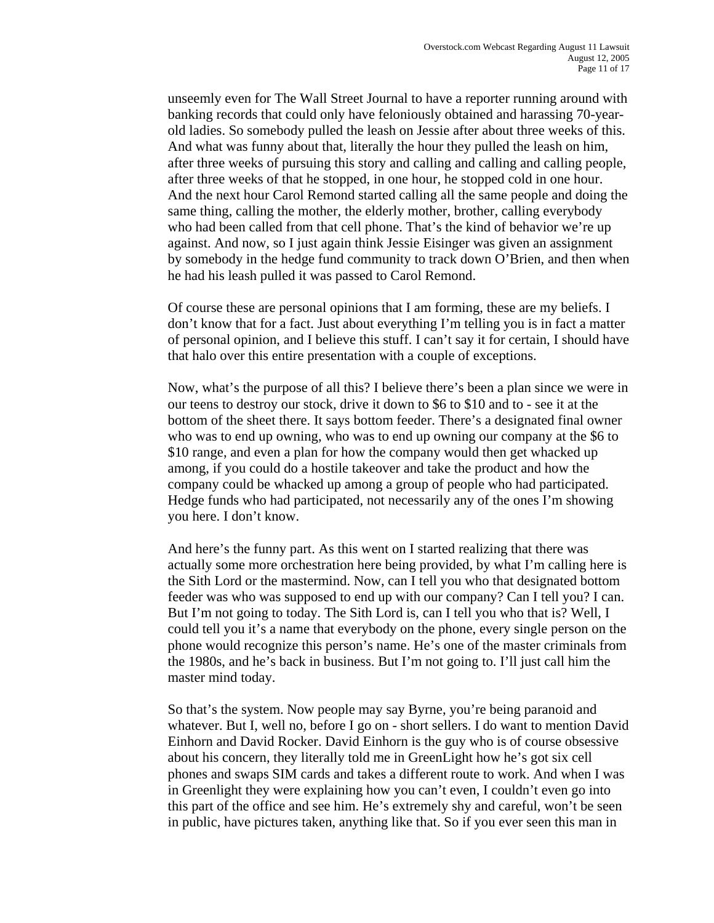unseemly even for The Wall Street Journal to have a reporter running around with banking records that could only have feloniously obtained and harassing 70-yearold ladies. So somebody pulled the leash on Jessie after about three weeks of this. And what was funny about that, literally the hour they pulled the leash on him, after three weeks of pursuing this story and calling and calling and calling people, after three weeks of that he stopped, in one hour, he stopped cold in one hour. And the next hour Carol Remond started calling all the same people and doing the same thing, calling the mother, the elderly mother, brother, calling everybody who had been called from that cell phone. That's the kind of behavior we're up against. And now, so I just again think Jessie Eisinger was given an assignment by somebody in the hedge fund community to track down O'Brien, and then when he had his leash pulled it was passed to Carol Remond.

 Of course these are personal opinions that I am forming, these are my beliefs. I don't know that for a fact. Just about everything I'm telling you is in fact a matter of personal opinion, and I believe this stuff. I can't say it for certain, I should have that halo over this entire presentation with a couple of exceptions.

 Now, what's the purpose of all this? I believe there's been a plan since we were in our teens to destroy our stock, drive it down to \$6 to \$10 and to - see it at the bottom of the sheet there. It says bottom feeder. There's a designated final owner who was to end up owning, who was to end up owning our company at the \$6 to \$10 range, and even a plan for how the company would then get whacked up among, if you could do a hostile takeover and take the product and how the company could be whacked up among a group of people who had participated. Hedge funds who had participated, not necessarily any of the ones I'm showing you here. I don't know.

And here's the funny part. As this went on I started realizing that there was actually some more orchestration here being provided, by what I'm calling here is the Sith Lord or the mastermind. Now, can I tell you who that designated bottom feeder was who was supposed to end up with our company? Can I tell you? I can. But I'm not going to today. The Sith Lord is, can I tell you who that is? Well, I could tell you it's a name that everybody on the phone, every single person on the phone would recognize this person's name. He's one of the master criminals from the 1980s, and he's back in business. But I'm not going to. I'll just call him the master mind today.

 So that's the system. Now people may say Byrne, you're being paranoid and whatever. But I, well no, before I go on - short sellers. I do want to mention David Einhorn and David Rocker. David Einhorn is the guy who is of course obsessive about his concern, they literally told me in GreenLight how he's got six cell phones and swaps SIM cards and takes a different route to work. And when I was in Greenlight they were explaining how you can't even, I couldn't even go into this part of the office and see him. He's extremely shy and careful, won't be seen in public, have pictures taken, anything like that. So if you ever seen this man in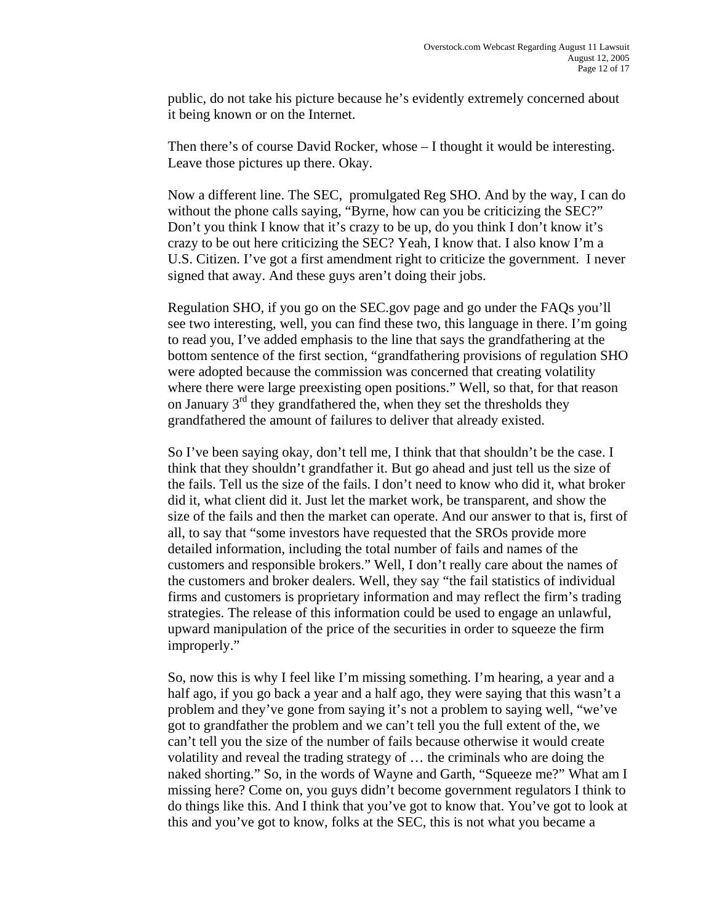public, do not take his picture because he's evidently extremely concerned about it being known or on the Internet.

 Then there's of course David Rocker, whose – I thought it would be interesting. Leave those pictures up there. Okay.

 Now a different line. The SEC, promulgated Reg SHO. And by the way, I can do without the phone calls saying, "Byrne, how can you be criticizing the SEC?" Don't you think I know that it's crazy to be up, do you think I don't know it's crazy to be out here criticizing the SEC? Yeah, I know that. I also know I'm a U.S. Citizen. I've got a first amendment right to criticize the government. I never signed that away. And these guys aren't doing their jobs.

Regulation SHO, if you go on the SEC.gov page and go under the FAQs you'll see two interesting, well, you can find these two, this language in there. I'm going to read you, I've added emphasis to the line that says the grandfathering at the bottom sentence of the first section, "grandfathering provisions of regulation SHO were adopted because the commission was concerned that creating volatility where there were large preexisting open positions." Well, so that, for that reason on January  $3<sup>rd</sup>$  they grandfathered the, when they set the thresholds they grandfathered the amount of failures to deliver that already existed.

So I've been saying okay, don't tell me, I think that that shouldn't be the case. I think that they shouldn't grandfather it. But go ahead and just tell us the size of the fails. Tell us the size of the fails. I don't need to know who did it, what broker did it, what client did it. Just let the market work, be transparent, and show the size of the fails and then the market can operate. And our answer to that is, first of all, to say that "some investors have requested that the SROs provide more detailed information, including the total number of fails and names of the customers and responsible brokers." Well, I don't really care about the names of the customers and broker dealers. Well, they say "the fail statistics of individual firms and customers is proprietary information and may reflect the firm's trading strategies. The release of this information could be used to engage an unlawful, upward manipulation of the price of the securities in order to squeeze the firm improperly."

So, now this is why I feel like I'm missing something. I'm hearing, a year and a half ago, if you go back a year and a half ago, they were saying that this wasn't a problem and they've gone from saying it's not a problem to saying well, "we've got to grandfather the problem and we can't tell you the full extent of the, we can't tell you the size of the number of fails because otherwise it would create volatility and reveal the trading strategy of … the criminals who are doing the naked shorting." So, in the words of Wayne and Garth, "Squeeze me?" What am I missing here? Come on, you guys didn't become government regulators I think to do things like this. And I think that you've got to know that. You've got to look at this and you've got to know, folks at the SEC, this is not what you became a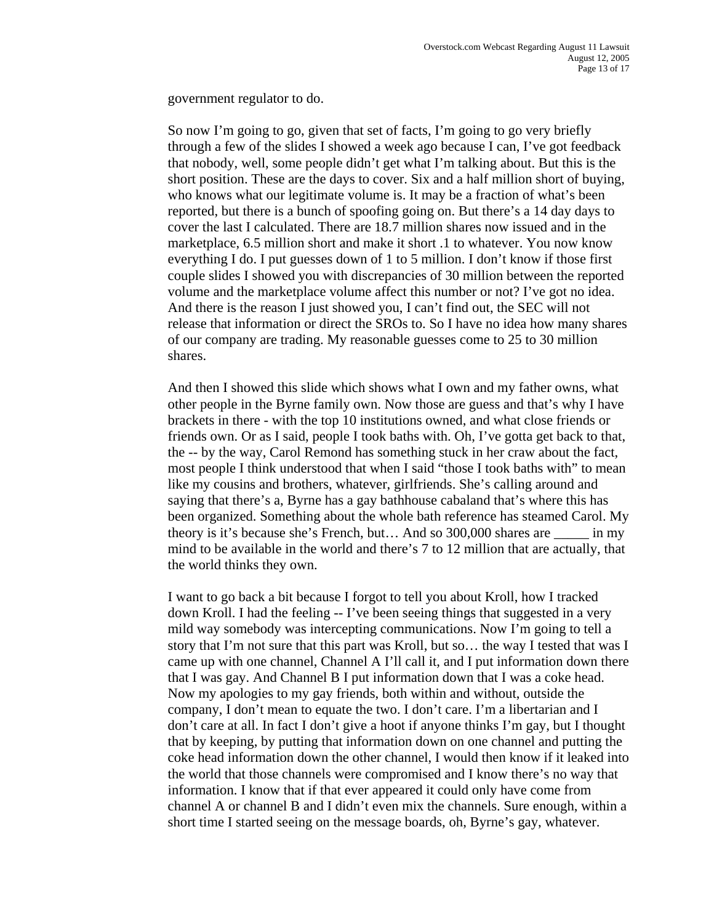government regulator to do.

 So now I'm going to go, given that set of facts, I'm going to go very briefly through a few of the slides I showed a week ago because I can, I've got feedback that nobody, well, some people didn't get what I'm talking about. But this is the short position. These are the days to cover. Six and a half million short of buying, who knows what our legitimate volume is. It may be a fraction of what's been reported, but there is a bunch of spoofing going on. But there's a 14 day days to cover the last I calculated. There are 18.7 million shares now issued and in the marketplace, 6.5 million short and make it short .1 to whatever. You now know everything I do. I put guesses down of 1 to 5 million. I don't know if those first couple slides I showed you with discrepancies of 30 million between the reported volume and the marketplace volume affect this number or not? I've got no idea. And there is the reason I just showed you, I can't find out, the SEC will not release that information or direct the SROs to. So I have no idea how many shares of our company are trading. My reasonable guesses come to 25 to 30 million shares.

And then I showed this slide which shows what I own and my father owns, what other people in the Byrne family own. Now those are guess and that's why I have brackets in there - with the top 10 institutions owned, and what close friends or friends own. Or as I said, people I took baths with. Oh, I've gotta get back to that, the -- by the way, Carol Remond has something stuck in her craw about the fact, most people I think understood that when I said "those I took baths with" to mean like my cousins and brothers, whatever, girlfriends. She's calling around and saying that there's a, Byrne has a gay bathhouse cabaland that's where this has been organized. Something about the whole bath reference has steamed Carol. My theory is it's because she's French, but… And so 300,000 shares are \_\_\_\_\_ in my mind to be available in the world and there's 7 to 12 million that are actually, that the world thinks they own.

 I want to go back a bit because I forgot to tell you about Kroll, how I tracked down Kroll. I had the feeling -- I've been seeing things that suggested in a very mild way somebody was intercepting communications. Now I'm going to tell a story that I'm not sure that this part was Kroll, but so… the way I tested that was I came up with one channel, Channel A I'll call it, and I put information down there that I was gay. And Channel B I put information down that I was a coke head. Now my apologies to my gay friends, both within and without, outside the company, I don't mean to equate the two. I don't care. I'm a libertarian and I don't care at all. In fact I don't give a hoot if anyone thinks I'm gay, but I thought that by keeping, by putting that information down on one channel and putting the coke head information down the other channel, I would then know if it leaked into the world that those channels were compromised and I know there's no way that information. I know that if that ever appeared it could only have come from channel A or channel B and I didn't even mix the channels. Sure enough, within a short time I started seeing on the message boards, oh, Byrne's gay, whatever.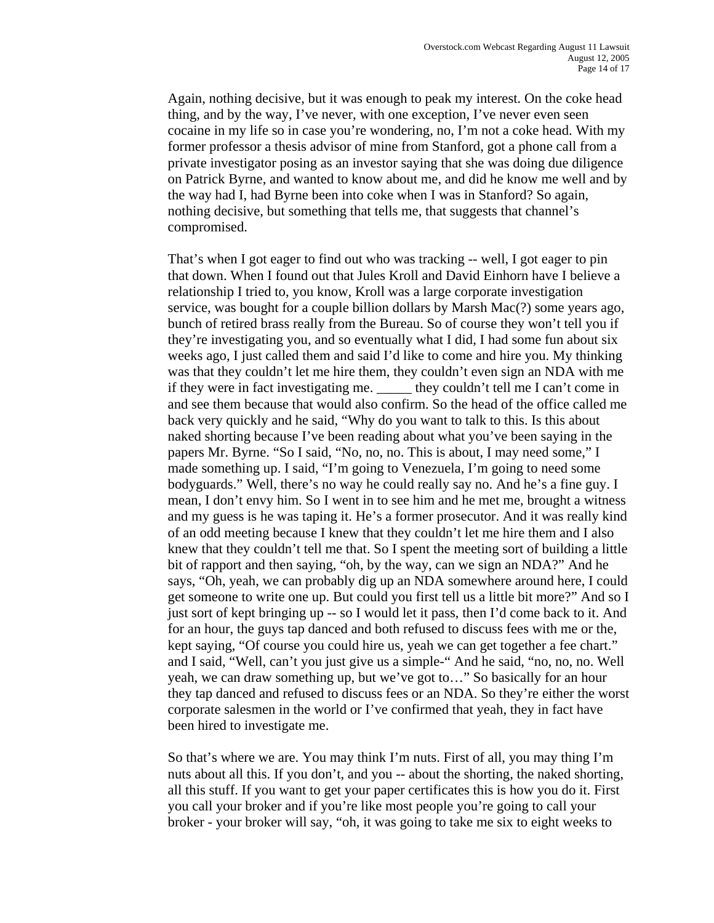Again, nothing decisive, but it was enough to peak my interest. On the coke head thing, and by the way, I've never, with one exception, I've never even seen cocaine in my life so in case you're wondering, no, I'm not a coke head. With my former professor a thesis advisor of mine from Stanford, got a phone call from a private investigator posing as an investor saying that she was doing due diligence on Patrick Byrne, and wanted to know about me, and did he know me well and by the way had I, had Byrne been into coke when I was in Stanford? So again, nothing decisive, but something that tells me, that suggests that channel's compromised.

That's when I got eager to find out who was tracking -- well, I got eager to pin that down. When I found out that Jules Kroll and David Einhorn have I believe a relationship I tried to, you know, Kroll was a large corporate investigation service, was bought for a couple billion dollars by Marsh Mac(?) some years ago, bunch of retired brass really from the Bureau. So of course they won't tell you if they're investigating you, and so eventually what I did, I had some fun about six weeks ago, I just called them and said I'd like to come and hire you. My thinking was that they couldn't let me hire them, they couldn't even sign an NDA with me if they were in fact investigating me. \_\_\_\_\_ they couldn't tell me I can't come in and see them because that would also confirm. So the head of the office called me back very quickly and he said, "Why do you want to talk to this. Is this about naked shorting because I've been reading about what you've been saying in the papers Mr. Byrne. "So I said, "No, no, no. This is about, I may need some," I made something up. I said, "I'm going to Venezuela, I'm going to need some bodyguards." Well, there's no way he could really say no. And he's a fine guy. I mean, I don't envy him. So I went in to see him and he met me, brought a witness and my guess is he was taping it. He's a former prosecutor. And it was really kind of an odd meeting because I knew that they couldn't let me hire them and I also knew that they couldn't tell me that. So I spent the meeting sort of building a little bit of rapport and then saying, "oh, by the way, can we sign an NDA?" And he says, "Oh, yeah, we can probably dig up an NDA somewhere around here, I could get someone to write one up. But could you first tell us a little bit more?" And so I just sort of kept bringing up -- so I would let it pass, then I'd come back to it. And for an hour, the guys tap danced and both refused to discuss fees with me or the, kept saying, "Of course you could hire us, yeah we can get together a fee chart." and I said, "Well, can't you just give us a simple-" And he said, "no, no, no. Well yeah, we can draw something up, but we've got to…" So basically for an hour they tap danced and refused to discuss fees or an NDA. So they're either the worst corporate salesmen in the world or I've confirmed that yeah, they in fact have been hired to investigate me.

 So that's where we are. You may think I'm nuts. First of all, you may thing I'm nuts about all this. If you don't, and you -- about the shorting, the naked shorting, all this stuff. If you want to get your paper certificates this is how you do it. First you call your broker and if you're like most people you're going to call your broker - your broker will say, "oh, it was going to take me six to eight weeks to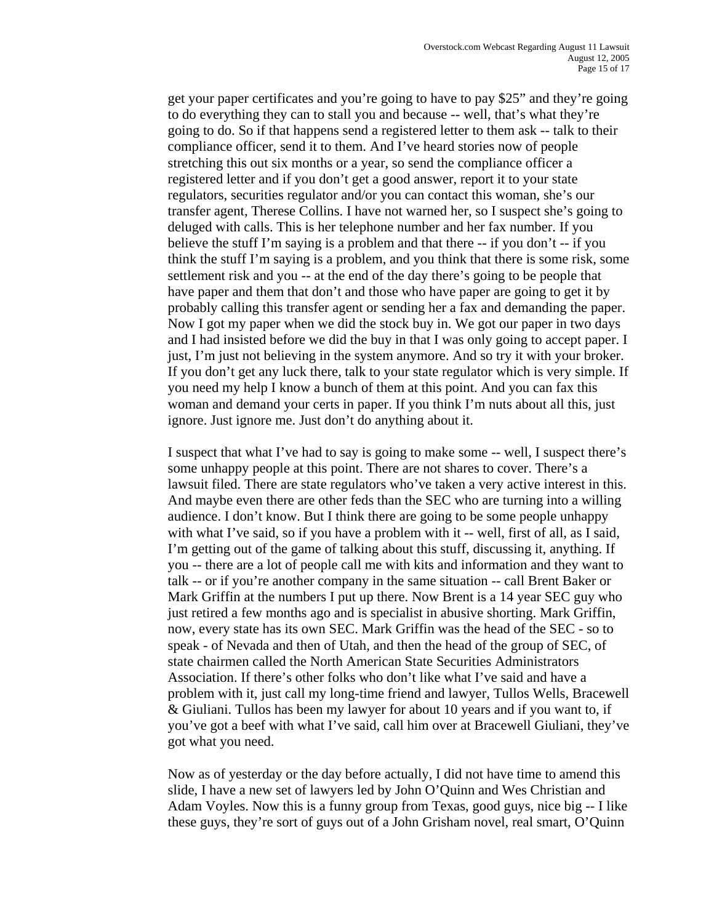get your paper certificates and you're going to have to pay \$25" and they're going to do everything they can to stall you and because -- well, that's what they're going to do. So if that happens send a registered letter to them ask -- talk to their compliance officer, send it to them. And I've heard stories now of people stretching this out six months or a year, so send the compliance officer a registered letter and if you don't get a good answer, report it to your state regulators, securities regulator and/or you can contact this woman, she's our transfer agent, Therese Collins. I have not warned her, so I suspect she's going to deluged with calls. This is her telephone number and her fax number. If you believe the stuff I'm saying is a problem and that there -- if you don't -- if you think the stuff I'm saying is a problem, and you think that there is some risk, some settlement risk and you -- at the end of the day there's going to be people that have paper and them that don't and those who have paper are going to get it by probably calling this transfer agent or sending her a fax and demanding the paper. Now I got my paper when we did the stock buy in. We got our paper in two days and I had insisted before we did the buy in that I was only going to accept paper. I just, I'm just not believing in the system anymore. And so try it with your broker. If you don't get any luck there, talk to your state regulator which is very simple. If you need my help I know a bunch of them at this point. And you can fax this woman and demand your certs in paper. If you think I'm nuts about all this, just ignore. Just ignore me. Just don't do anything about it.

 I suspect that what I've had to say is going to make some -- well, I suspect there's some unhappy people at this point. There are not shares to cover. There's a lawsuit filed. There are state regulators who've taken a very active interest in this. And maybe even there are other feds than the SEC who are turning into a willing audience. I don't know. But I think there are going to be some people unhappy with what I've said, so if you have a problem with it -- well, first of all, as I said, I'm getting out of the game of talking about this stuff, discussing it, anything. If you -- there are a lot of people call me with kits and information and they want to talk -- or if you're another company in the same situation -- call Brent Baker or Mark Griffin at the numbers I put up there. Now Brent is a 14 year SEC guy who just retired a few months ago and is specialist in abusive shorting. Mark Griffin, now, every state has its own SEC. Mark Griffin was the head of the SEC - so to speak - of Nevada and then of Utah, and then the head of the group of SEC, of state chairmen called the North American State Securities Administrators Association. If there's other folks who don't like what I've said and have a problem with it, just call my long-time friend and lawyer, Tullos Wells, Bracewell & Giuliani. Tullos has been my lawyer for about 10 years and if you want to, if you've got a beef with what I've said, call him over at Bracewell Giuliani, they've got what you need.

 Now as of yesterday or the day before actually, I did not have time to amend this slide, I have a new set of lawyers led by John O'Quinn and Wes Christian and Adam Voyles. Now this is a funny group from Texas, good guys, nice big -- I like these guys, they're sort of guys out of a John Grisham novel, real smart, O'Quinn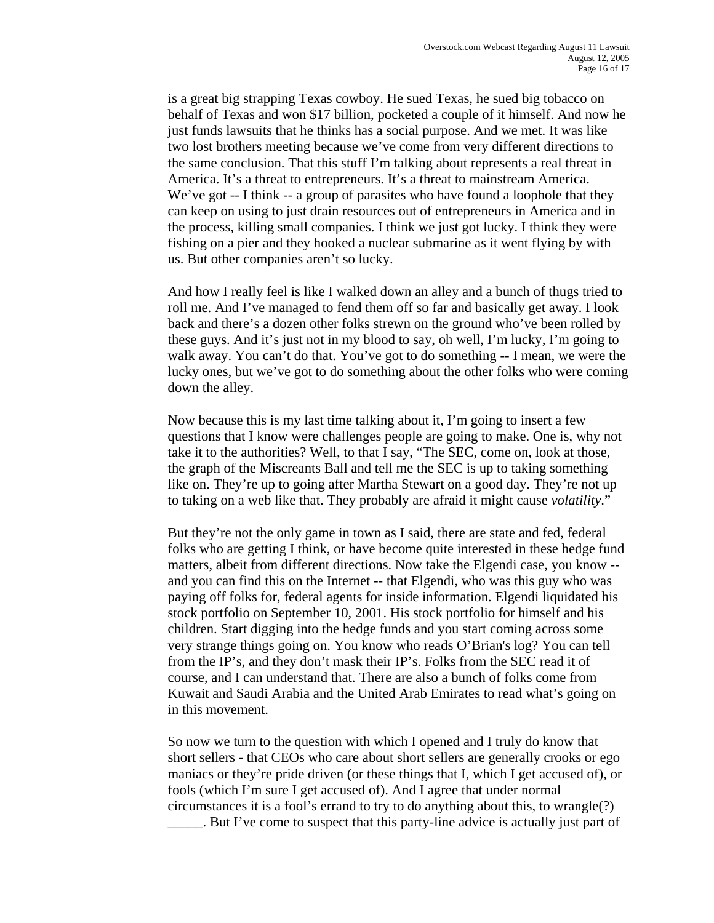is a great big strapping Texas cowboy. He sued Texas, he sued big tobacco on behalf of Texas and won \$17 billion, pocketed a couple of it himself. And now he just funds lawsuits that he thinks has a social purpose. And we met. It was like two lost brothers meeting because we've come from very different directions to the same conclusion. That this stuff I'm talking about represents a real threat in America. It's a threat to entrepreneurs. It's a threat to mainstream America. We've got -- I think -- a group of parasites who have found a loophole that they can keep on using to just drain resources out of entrepreneurs in America and in the process, killing small companies. I think we just got lucky. I think they were fishing on a pier and they hooked a nuclear submarine as it went flying by with us. But other companies aren't so lucky.

And how I really feel is like I walked down an alley and a bunch of thugs tried to roll me. And I've managed to fend them off so far and basically get away. I look back and there's a dozen other folks strewn on the ground who've been rolled by these guys. And it's just not in my blood to say, oh well, I'm lucky, I'm going to walk away. You can't do that. You've got to do something -- I mean, we were the lucky ones, but we've got to do something about the other folks who were coming down the alley.

Now because this is my last time talking about it, I'm going to insert a few questions that I know were challenges people are going to make. One is, why not take it to the authorities? Well, to that I say, "The SEC, come on, look at those, the graph of the Miscreants Ball and tell me the SEC is up to taking something like on. They're up to going after Martha Stewart on a good day. They're not up to taking on a web like that. They probably are afraid it might cause *volatility*."

But they're not the only game in town as I said, there are state and fed, federal folks who are getting I think, or have become quite interested in these hedge fund matters, albeit from different directions. Now take the Elgendi case, you know - and you can find this on the Internet -- that Elgendi, who was this guy who was paying off folks for, federal agents for inside information. Elgendi liquidated his stock portfolio on September 10, 2001. His stock portfolio for himself and his children. Start digging into the hedge funds and you start coming across some very strange things going on. You know who reads O'Brian's log? You can tell from the IP's, and they don't mask their IP's. Folks from the SEC read it of course, and I can understand that. There are also a bunch of folks come from Kuwait and Saudi Arabia and the United Arab Emirates to read what's going on in this movement.

So now we turn to the question with which I opened and I truly do know that short sellers - that CEOs who care about short sellers are generally crooks or ego maniacs or they're pride driven (or these things that I, which I get accused of), or fools (which I'm sure I get accused of). And I agree that under normal circumstances it is a fool's errand to try to do anything about this, to wrangle(?) \_\_\_\_\_. But I've come to suspect that this party-line advice is actually just part of